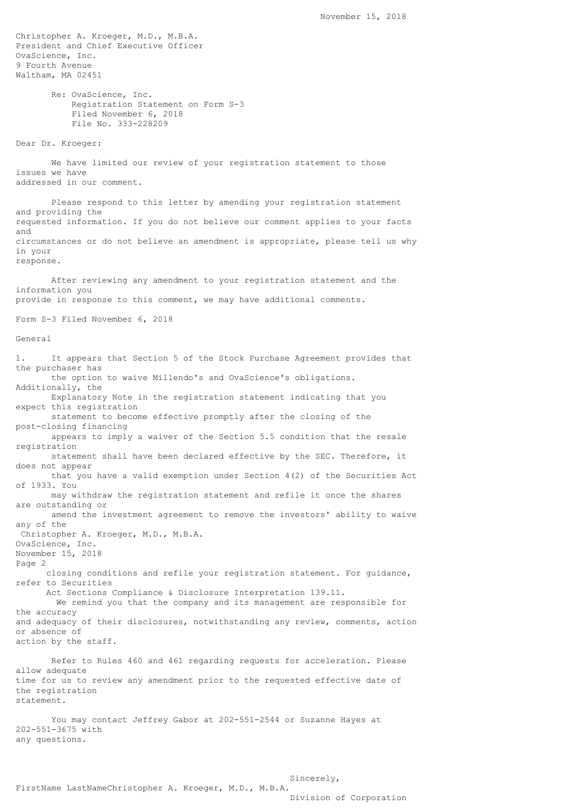Christopher A. Kroeger, M.D., M.B.A. President and Chief Executive Officer OvaScience, Inc. 9 Fourth Avenue Waltham, MA 02451 Re: OvaScience, Inc. Registration Statement on Form S-3 Filed November 6, 2018 File No. 333-228209 Dear Dr. Kroeger: We have limited our review of your registration statement to those issues we have addressed in our comment. Please respond to this letter by amending your registration statement and providing the requested information. If you do not believe our comment applies to your facts and circumstances or do not believe an amendment is appropriate, please tell us why in your response. After reviewing any amendment to your registration statement and the information you provide in response to this comment, we may have additional comments. Form S-3 Filed November 6, 2018 General 1. It appears that Section 5 of the Stock Purchase Agreement provides that the purchaser has the option to waive Millendo's and OvaScience's obligations. Additionally, the Explanatory Note in the registration statement indicating that you expect this registration statement to become effective promptly after the closing of the post-closing financing appears to imply a waiver of the Section 5.5 condition that the resale registration statement shall have been declared effective by the SEC. Therefore, it does not appear that you have a valid exemption under Section 4(2) of the Securities Act of 1933. You may withdraw the registration statement and refile it once the shares are outstanding or amend the investment agreement to remove the investors' ability to waive any of the Christopher A. Kroeger, M.D., M.B.A. OvaScience, Inc. November 15, 2018 Page 2 closing conditions and refile your registration statement. For guidance, refer to Securities Act Sections Compliance & Disclosure Interpretation 139.11. We remind you that the company and its management are responsible for the accuracy and adequacy of their disclosures, notwithstanding any review, comments, action or absence of action by the staff. Refer to Rules 460 and 461 regarding requests for acceleration. Please allow adequate time for us to review any amendment prior to the requested effective date of the registration statement. You may contact Jeffrey Gabor at 202-551-2544 or Suzanne Hayes at 202-551-3675 with any questions.